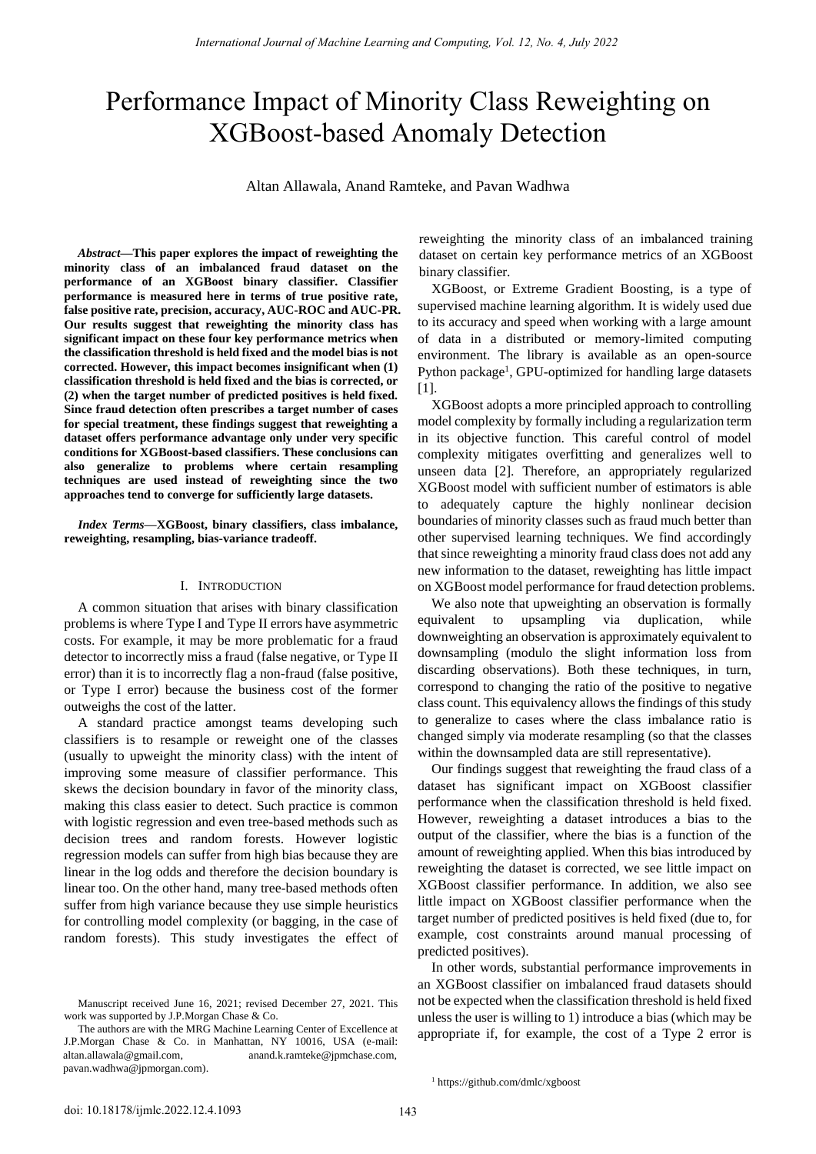# Performance Impact of Minority Class Reweighting on XGBoost-based Anomaly Detection

Altan Allawala, Anand Ramteke, and Pavan Wadhwa

*Abstract***—This paper explores the impact of reweighting the minority class of an imbalanced fraud dataset on the performance of an XGBoost binary classifier. Classifier performance is measured here in terms of true positive rate, false positive rate, precision, accuracy, AUC-ROC and AUC-PR. Our results suggest that reweighting the minority class has significant impact on these four key performance metrics when the classification threshold is held fixed and the model bias is not corrected. However, this impact becomes insignificant when (1) classification threshold is held fixed and the bias is corrected, or (2) when the target number of predicted positives is held fixed. Since fraud detection often prescribes a target number of cases for special treatment, these findings suggest that reweighting a dataset offers performance advantage only under very specific conditions for XGBoost-based classifiers. These conclusions can also generalize to problems where certain resampling techniques are used instead of reweighting since the two approaches tend to converge for sufficiently large datasets.** 

*Index Terms***—XGBoost, binary classifiers, class imbalance, reweighting, resampling, bias-variance tradeoff.** 

#### I. INTRODUCTION

A common situation that arises with binary classification problems is where Type I and Type II errors have asymmetric costs. For example, it may be more problematic for a fraud detector to incorrectly miss a fraud (false negative, or Type II error) than it is to incorrectly flag a non-fraud (false positive, or Type I error) because the business cost of the former outweighs the cost of the latter.

A standard practice amongst teams developing such classifiers is to resample or reweight one of the classes (usually to upweight the minority class) with the intent of improving some measure of classifier performance. This skews the decision boundary in favor of the minority class, making this class easier to detect. Such practice is common with logistic regression and even tree-based methods such as decision trees and random forests. However logistic regression models can suffer from high bias because they are linear in the log odds and therefore the decision boundary is linear too. On the other hand, many tree-based methods often suffer from high variance because they use simple heuristics for controlling model complexity (or bagging, in the case of random forests). This study investigates the effect of reweighting the minority class of an imbalanced training dataset on certain key performance metrics of an XGBoost binary classifier.

XGBoost, or Extreme Gradient Boosting, is a type of supervised machine learning algorithm. It is widely used due to its accuracy and speed when working with a large amount of data in a distributed or memory-limited computing environment. The library is available as an open-source Python package<sup>1</sup>, GPU-optimized for handling large datasets [1].

XGBoost adopts a more principled approach to controlling model complexity by formally including a regularization term in its objective function. This careful control of model complexity mitigates overfitting and generalizes well to unseen data [2]. Therefore, an appropriately regularized XGBoost model with sufficient number of estimators is able to adequately capture the highly nonlinear decision boundaries of minority classes such as fraud much better than other supervised learning techniques. We find accordingly that since reweighting a minority fraud class does not add any new information to the dataset, reweighting has little impact on XGBoost model performance for fraud detection problems.

We also note that upweighting an observation is formally equivalent to upsampling via duplication, while downweighting an observation is approximately equivalent to downsampling (modulo the slight information loss from discarding observations). Both these techniques, in turn, correspond to changing the ratio of the positive to negative class count. This equivalency allows the findings of this study to generalize to cases where the class imbalance ratio is changed simply via moderate resampling (so that the classes within the downsampled data are still representative).

Our findings suggest that reweighting the fraud class of a dataset has significant impact on XGBoost classifier performance when the classification threshold is held fixed. However, reweighting a dataset introduces a bias to the output of the classifier, where the bias is a function of the amount of reweighting applied. When this bias introduced by reweighting the dataset is corrected, we see little impact on XGBoost classifier performance. In addition, we also see little impact on XGBoost classifier performance when the target number of predicted positives is held fixed (due to, for example, cost constraints around manual processing of predicted positives).

In other words, substantial performance improvements in an XGBoost classifier on imbalanced fraud datasets should not be expected when the classification threshold is held fixed unless the user is willing to 1) introduce a bias (which may be [appropriate if, for ex](mailto:altan.allawala@gmail.com)[amp](mailto:pavan.wadhwa@jpmorgan.com)le, the [cost of a Type 2 error is](mailto:anand.k.ramteke@jpmchase.com) 

1 https://github.com/dmlc/xgboost

Manuscript received June 16, 2021; revised December 27, 2021. This work was supported by J.P.Morgan Chase & Co.

The authors are with the MRG Machine Learning Center of Excellence at J.P.Morgan Chase & Co. in Manhattan, NY 10016, USA (e-mail: altan.allawala@gmail.com, anand.k.ramteke@jpmchase.com, pavan.wadhwa@jpmorgan.com).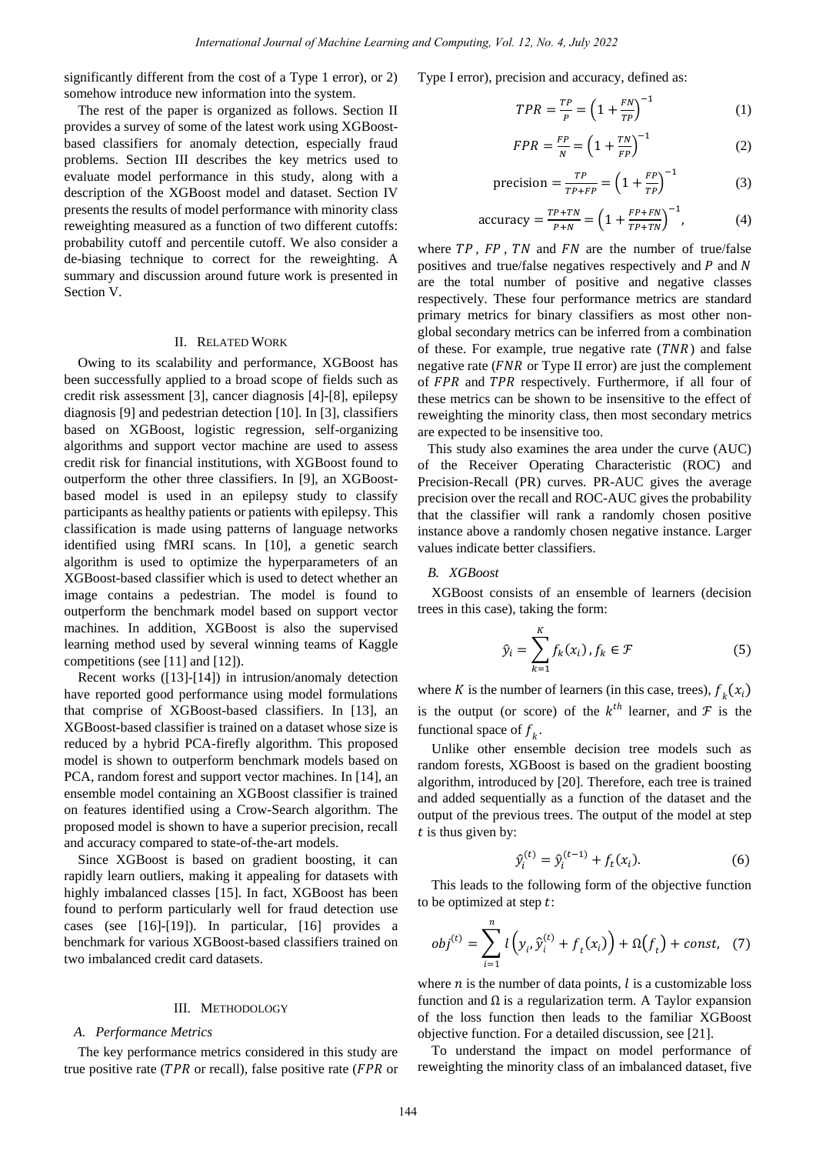significantly different from the cost of a Type 1 error), or 2) somehow introduce new information into the system.

The rest of the paper is organized as follows. Section II provides a survey of some of the latest work using XGBoostbased classifiers for anomaly detection, especially fraud problems. Section III describes the key metrics used to evaluate model performance in this study, along with a description of the XGBoost model and dataset. Section IV presents the results of model performance with minority class reweighting measured as a function of two different cutoffs: probability cutoff and percentile cutoff. We also consider a de-biasing technique to correct for the reweighting. A summary and discussion around future work is presented in Section V.

# II. RELATED WORK

Owing to its scalability and performance, XGBoost has been successfully applied to a broad scope of fields such as credit risk assessment [3], cancer diagnosis [4]-[8], epilepsy diagnosis [9] and pedestrian detection [10]. In [3], classifiers based on XGBoost, logistic regression, self-organizing algorithms and support vector machine are used to assess credit risk for financial institutions, with XGBoost found to outperform the other three classifiers. In [9], an XGBoostbased model is used in an epilepsy study to classify participants as healthy patients or patients with epilepsy. This classification is made using patterns of language networks identified using fMRI scans. In [10], a genetic search algorithm is used to optimize the hyperparameters of an XGBoost-based classifier which is used to detect whether an image contains a pedestrian. The model is found to outperform the benchmark model based on support vector machines. In addition, XGBoost is also the supervised learning method used by several winning teams of Kaggle competitions (see [11] and [12]).

Recent works ([13]-[14]) in intrusion/anomaly detection have reported good performance using model formulations that comprise of XGBoost-based classifiers. In [13], an XGBoost-based classifier is trained on a dataset whose size is reduced by a hybrid PCA-firefly algorithm. This proposed model is shown to outperform benchmark models based on PCA, random forest and support vector machines. In [14], an ensemble model containing an XGBoost classifier is trained on features identified using a Crow-Search algorithm. The proposed model is shown to have a superior precision, recall and accuracy compared to state-of-the-art models.

Since XGBoost is based on gradient boosting, it can rapidly learn outliers, making it appealing for datasets with highly imbalanced classes [15]. In fact, XGBoost has been found to perform particularly well for fraud detection use cases (see [16]-[19]). In particular, [16] provides a benchmark for various XGBoost-based classifiers trained on two imbalanced credit card datasets.

#### III. METHODOLOGY

#### *A. Performance Metrics*

The key performance metrics considered in this study are true positive rate ( $TPR$  or recall), false positive rate ( $FPR$  or

Type I error), precision and accuracy, defined as:

$$
TPR = \frac{TP}{P} = \left(1 + \frac{FN}{TP}\right)^{-1} \tag{1}
$$

$$
FPR = \frac{FP}{N} = \left(1 + \frac{TN}{FP}\right)^{-1} \tag{2}
$$

$$
\text{precision} = \frac{TP}{TP + FP} = \left(1 + \frac{FP}{TP}\right)^{-1} \tag{3}
$$

accuracy = 
$$
\frac{TP+TN}{P+N}
$$
 =  $\left(1 + \frac{FP+FN}{TP+TN}\right)^{-1}$ , (4)

where  $TP$ ,  $FP$ ,  $TN$  and  $FN$  are the number of true/false positives and true/false negatives respectively and  $P$  and  $N$ are the total number of positive and negative classes respectively. These four performance metrics are standard primary metrics for binary classifiers as most other nonglobal secondary metrics can be inferred from a combination of these. For example, true negative rate  $(TNR)$  and false negative rate ( $FNR$  or Type II error) are just the complement of FPR and TPR respectively. Furthermore, if all four of these metrics can be shown to be insensitive to the effect of reweighting the minority class, then most secondary metrics are expected to be insensitive too.

This study also examines the area under the curve (AUC) of the Receiver Operating Characteristic (ROC) and Precision-Recall (PR) curves. PR-AUC gives the average precision over the recall and ROC-AUC gives the probability that the classifier will rank a randomly chosen positive instance above a randomly chosen negative instance. Larger values indicate better classifiers.

# *B. XGBoost*

XGBoost consists of an ensemble of learners (decision trees in this case), taking the form:

$$
\hat{y}_i = \sum_{k=1}^K f_k(x_i), f_k \in \mathcal{F}
$$
\n(5)

where K is the number of learners (in this case, trees),  $f_k(x_i)$ is the output (or score) of the  $k^{th}$  learner, and  $\mathcal F$  is the functional space of  $f_k$ .

Unlike other ensemble decision tree models such as random forests, XGBoost is based on the gradient boosting algorithm, introduced by [20]. Therefore, each tree is trained and added sequentially as a function of the dataset and the output of the previous trees. The output of the model at step  $t$  is thus given by:

$$
\hat{y}_i^{(t)} = \hat{y}_i^{(t-1)} + f_t(x_i).
$$
 (6)

This leads to the following form of the objective function to be optimized at step  $t$ :

$$
obj^{(t)} = \sum_{i=1}^{n} l\left(y_i, \hat{y}_i^{(t)} + f_t(x_i)\right) + \Omega(f_t) + const.
$$
 (7)

where  $n$  is the number of data points,  $l$  is a customizable loss function and Ω is a regularization term. A Taylor expansion of the loss function then leads to the familiar XGBoost objective function. For a detailed discussion, see [21].

To understand the impact on model performance of reweighting the minority class of an imbalanced dataset, five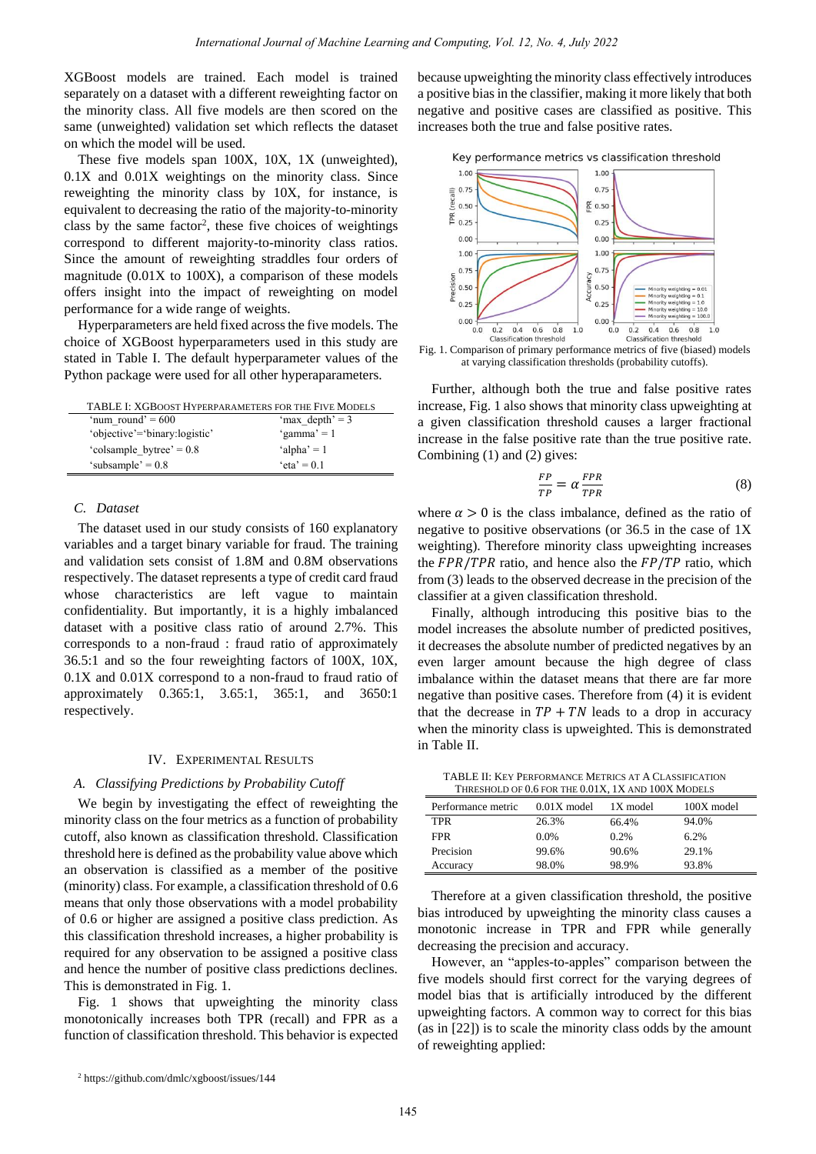XGBoost models are trained. Each model is trained separately on a dataset with a different reweighting factor on the minority class. All five models are then scored on the same (unweighted) validation set which reflects the dataset on which the model will be used.

These five models span 100X, 10X, 1X (unweighted), 0.1X and 0.01X weightings on the minority class. Since reweighting the minority class by 10X, for instance, is equivalent to decreasing the ratio of the majority-to-minority class by the same factor<sup>2</sup>, these five choices of weightings correspond to different majority-to-minority class ratios. Since the amount of reweighting straddles four orders of magnitude (0.01X to 100X), a comparison of these models offers insight into the impact of reweighting on model performance for a wide range of weights.

Hyperparameters are held fixed across the five models. The choice of XGBoost hyperparameters used in this study are stated in Table I. The default hyperparameter values of the Python package were used for all other hyperaparameters.

| TABLE I: XGBOOST HYPERPARAMETERS FOR THE FIVE MODELS |                   |  |  |
|------------------------------------------------------|-------------------|--|--|
| 'num round' = $600$                                  | 'max $depth' = 3$ |  |  |
| 'objective'='binary:logistic'                        | 'gamma' = 1       |  |  |
| 'colsample bytree' = $0.8$                           | 'alpha' = $1$     |  |  |
| 'subsample' = $0.8$                                  | $eta' = 0.1$      |  |  |

# *C. Dataset*

The dataset used in our study consists of 160 explanatory variables and a target binary variable for fraud. The training and validation sets consist of 1.8M and 0.8M observations respectively. The dataset represents a type of credit card fraud whose characteristics are left vague to maintain confidentiality. But importantly, it is a highly imbalanced dataset with a positive class ratio of around 2.7%. This corresponds to a non-fraud : fraud ratio of approximately 36.5:1 and so the four reweighting factors of 100X, 10X, 0.1X and 0.01X correspond to a non-fraud to fraud ratio of approximately 0.365:1, 3.65:1, 365:1, and 3650:1 respectively.

#### IV. EXPERIMENTAL RESULTS

## *A. Classifying Predictions by Probability Cutoff*

We begin by investigating the effect of reweighting the minority class on the four metrics as a function of probability cutoff, also known as classification threshold. Classification threshold here is defined as the probability value above which an observation is classified as a member of the positive (minority) class. For example, a classification threshold of 0.6 means that only those observations with a model probability of 0.6 or higher are assigned a positive class prediction. As this classification threshold increases, a higher probability is required for any observation to be assigned a positive class and hence the number of positive class predictions declines. This is demonstrated in Fig. 1.

Fig. 1 shows that upweighting the minority class monotonically increases both TPR (recall) and FPR as a function of classification threshold. This behavior is expected

2 https://github.com/dmlc/xgboost/issues/144

because upweighting the minority class effectively introduces a positive bias in the classifier, making it more likely that both negative and positive cases are classified as positive. This increases both the true and false positive rates.

Key performance metrics vs classification threshold



Fig. 1. Comparison of primary performance metrics of five (biased) models at varying classification thresholds (probability cutoffs).

Further, although both the true and false positive rates increase, Fig. 1 also shows that minority class upweighting at a given classification threshold causes a larger fractional increase in the false positive rate than the true positive rate. Combining (1) and (2) gives:

$$
\frac{FP}{TP} = \alpha \frac{FPR}{TPR} \tag{8}
$$

where  $\alpha > 0$  is the class imbalance, defined as the ratio of negative to positive observations (or 36.5 in the case of 1X weighting). Therefore minority class upweighting increases the  $FPR/TPR$  ratio, and hence also the  $FP/TP$  ratio, which from (3) leads to the observed decrease in the precision of the classifier at a given classification threshold.

Finally, although introducing this positive bias to the model increases the absolute number of predicted positives, it decreases the absolute number of predicted negatives by an even larger amount because the high degree of class imbalance within the dataset means that there are far more negative than positive cases. Therefore from (4) it is evident that the decrease in  $TP + TN$  leads to a drop in accuracy when the minority class is upweighted. This is demonstrated in Table II.

TABLE II: KEY PERFORMANCE METRICS AT A CLASSIFICATION THRESHOLD OF 0.6 FOR THE 0.01X, 1X AND 100X MODELS

| Performance metric | $0.01X$ model | 1X model | 100X model |
|--------------------|---------------|----------|------------|
| TPR                | 26.3%         | 66.4%    | 94.0%      |
| <b>FPR</b>         | $0.0\%$       | 0.2%     | 6.2%       |
| Precision          | 99.6%         | 90.6%    | 29.1%      |
| Accuracy           | 98.0%         | 98.9%    | 93.8%      |

Therefore at a given classification threshold, the positive bias introduced by upweighting the minority class causes a monotonic increase in TPR and FPR while generally decreasing the precision and accuracy.

However, an "apples-to-apples" comparison between the five models should first correct for the varying degrees of model bias that is artificially introduced by the different upweighting factors. A common way to correct for this bias (as in [22]) is to scale the minority class odds by the amount of reweighting applied: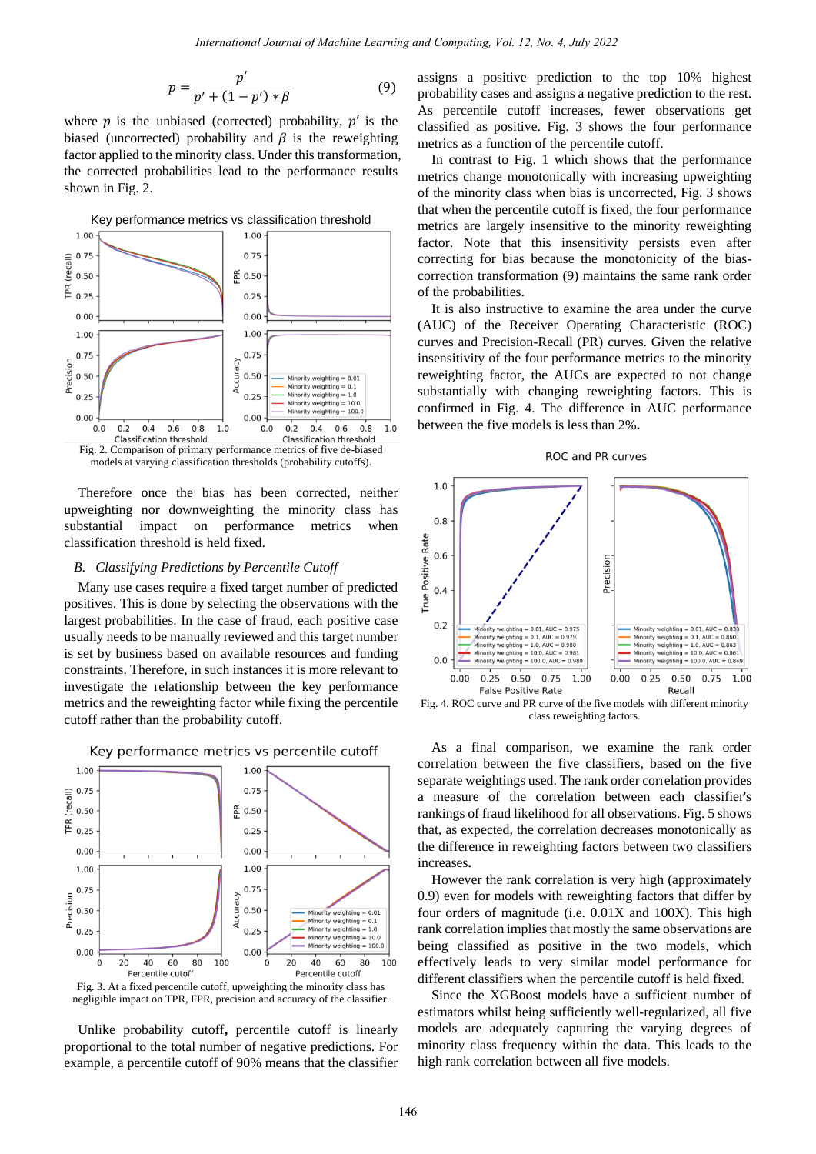$$
p = \frac{p'}{p' + (1 - p') * \beta} \tag{9}
$$

where  $p$  is the unbiased (corrected) probability,  $p'$  is the biased (uncorrected) probability and  $\beta$  is the reweighting factor applied to the minority class. Under this transformation, the corrected probabilities lead to the performance results shown in Fig. 2.



Therefore once the bias has been corrected, neither upweighting nor downweighting the minority class has substantial impact on performance metrics when classification threshold is held fixed.

#### *B. Classifying Predictions by Percentile Cutoff*

Many use cases require a fixed target number of predicted positives. This is done by selecting the observations with the largest probabilities. In the case of fraud, each positive case usually needs to be manually reviewed and this target number is set by business based on available resources and funding constraints. Therefore, in such instances it is more relevant to investigate the relationship between the key performance metrics and the reweighting factor while fixing the percentile cutoff rather than the probability cutoff.



# Key performance metrics vs percentile cutoff

Fig. 3. At a fixed percentile cutoff, upweighting the minority class has negligible impact on TPR, FPR, precision and accuracy of the classifier.

Unlike probability cutoff**,** percentile cutoff is linearly proportional to the total number of negative predictions. For example, a percentile cutoff of 90% means that the classifier

assigns a positive prediction to the top 10% highest probability cases and assigns a negative prediction to the rest. As percentile cutoff increases, fewer observations get classified as positive. Fig. 3 shows the four performance metrics as a function of the percentile cutoff.

In contrast to Fig. 1 which shows that the performance metrics change monotonically with increasing upweighting of the minority class when bias is uncorrected, Fig. 3 shows that when the percentile cutoff is fixed, the four performance metrics are largely insensitive to the minority reweighting factor. Note that this insensitivity persists even after correcting for bias because the monotonicity of the biascorrection transformation (9) maintains the same rank order of the probabilities.

It is also instructive to examine the area under the curve (AUC) of the Receiver Operating Characteristic (ROC) curves and Precision-Recall (PR) curves. Given the relative insensitivity of the four performance metrics to the minority reweighting factor, the AUCs are expected to not change substantially with changing reweighting factors. This is confirmed in Fig. 4. The difference in AUC performance between the five models is less than 2%**.**





class reweighting factors.

As a final comparison, we examine the rank order correlation between the five classifiers, based on the five separate weightings used. The rank order correlation provides a measure of the correlation between each classifier's rankings of fraud likelihood for all observations. Fig. 5 shows that, as expected, the correlation decreases monotonically as the difference in reweighting factors between two classifiers increases**.** 

However the rank correlation is very high (approximately 0.9) even for models with reweighting factors that differ by four orders of magnitude (i.e. 0.01X and 100X). This high rank correlation implies that mostly the same observations are being classified as positive in the two models, which effectively leads to very similar model performance for different classifiers when the percentile cutoff is held fixed.

Since the XGBoost models have a sufficient number of estimators whilst being sufficiently well-regularized, all five models are adequately capturing the varying degrees of minority class frequency within the data. This leads to the high rank correlation between all five models.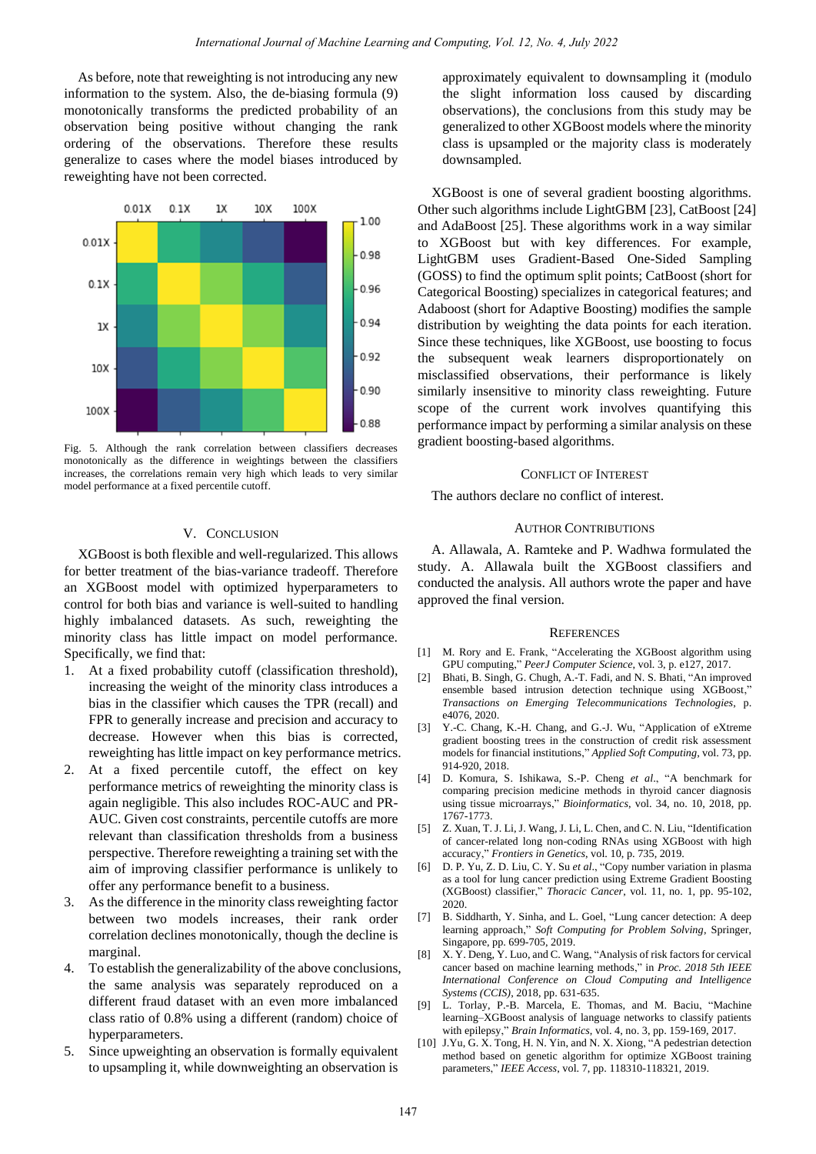As before, note that reweighting is not introducing any new information to the system. Also, the de-biasing formula (9) monotonically transforms the predicted probability of an observation being positive without changing the rank ordering of the observations. Therefore these results generalize to cases where the model biases introduced by reweighting have not been corrected.



Fig. 5. Although the rank correlation between classifiers decreases monotonically as the difference in weightings between the classifiers increases, the correlations remain very high which leads to very similar model performance at a fixed percentile cutoff.

## V. CONCLUSION

XGBoost is both flexible and well-regularized. This allows for better treatment of the bias-variance tradeoff. Therefore an XGBoost model with optimized hyperparameters to control for both bias and variance is well-suited to handling highly imbalanced datasets. As such, reweighting the minority class has little impact on model performance. Specifically, we find that:

- 1. At a fixed probability cutoff (classification threshold), increasing the weight of the minority class introduces a bias in the classifier which causes the TPR (recall) and FPR to generally increase and precision and accuracy to decrease. However when this bias is corrected, reweighting has little impact on key performance metrics.
- 2. At a fixed percentile cutoff, the effect on key performance metrics of reweighting the minority class is again negligible. This also includes ROC-AUC and PR-AUC. Given cost constraints, percentile cutoffs are more relevant than classification thresholds from a business perspective. Therefore reweighting a training set with the aim of improving classifier performance is unlikely to offer any performance benefit to a business.
- 3. As the difference in the minority class reweighting factor between two models increases, their rank order correlation declines monotonically, though the decline is marginal.
- 4. To establish the generalizability of the above conclusions, the same analysis was separately reproduced on a different fraud dataset with an even more imbalanced class ratio of 0.8% using a different (random) choice of hyperparameters.
- 5. Since upweighting an observation is formally equivalent to upsampling it, while downweighting an observation is

approximately equivalent to downsampling it (modulo the slight information loss caused by discarding observations), the conclusions from this study may be generalized to other XGBoost models where the minority class is upsampled or the majority class is moderately downsampled.

XGBoost is one of several gradient boosting algorithms. Other such algorithms include LightGBM [23], CatBoost [24] and AdaBoost [25]. These algorithms work in a way similar to XGBoost but with key differences. For example, LightGBM uses Gradient-Based One-Sided Sampling (GOSS) to find the optimum split points; CatBoost (short for Categorical Boosting) specializes in categorical features; and Adaboost (short for Adaptive Boosting) modifies the sample distribution by weighting the data points for each iteration. Since these techniques, like XGBoost, use boosting to focus the subsequent weak learners disproportionately on misclassified observations, their performance is likely similarly insensitive to minority class reweighting. Future scope of the current work involves quantifying this performance impact by performing a similar analysis on these gradient boosting-based algorithms.

# CONFLICT OF INTEREST

The authors declare no conflict of interest.

### AUTHOR CONTRIBUTIONS

A. Allawala, A. Ramteke and P. Wadhwa formulated the study. A. Allawala built the XGBoost classifiers and conducted the analysis. All authors wrote the paper and have approved the final version.

#### **REFERENCES**

- [1] M. Rory and E. Frank, "Accelerating the XGBoost algorithm using GPU computing," *PeerJ Computer Science*, vol. 3, p. e127, 2017.
- [2] Bhati, B. Singh, G. Chugh, A.-T. Fadi, and N. S. Bhati, "An improved ensemble based intrusion detection technique using XGBoost," *Transactions on Emerging Telecommunications Technologies*, p. e4076, 2020.
- [3] Y.-C. Chang, K.-H. Chang, and G.-J. Wu, "Application of eXtreme gradient boosting trees in the construction of credit risk assessment models for financial institutions," *Applied Soft Computing*, vol. 73, pp. 914-920, 2018.
- [4] D. Komura, S. Ishikawa, S.-P. Cheng *et al*., "A benchmark for comparing precision medicine methods in thyroid cancer diagnosis using tissue microarrays," *Bioinformatics*, vol. 34, no. 10, 2018, pp. 1767-1773.
- [5] Z. Xuan, T. J. Li, J. Wang, J. Li, L. Chen, and C. N. Liu, "Identification of cancer-related long non-coding RNAs using XGBoost with high accuracy," *Frontiers in Genetics*, vol. 10, p. 735, 2019.
- [6] D. P. Yu, Z. D. Liu, C. Y. Su *et al*., "Copy number variation in plasma as a tool for lung cancer prediction using Extreme Gradient Boosting (XGBoost) classifier," *Thoracic Cancer*, vol. 11, no. 1, pp. 95-102, 2020.
- [7] B. Siddharth, Y. Sinha, and L. Goel, "Lung cancer detection: A deep learning approach," *Soft Computing for Problem Solving*, Springer, Singapore, pp. 699-705, 2019.
- [8] X. Y. Deng, Y. Luo, and C. Wang, "Analysis of risk factors for cervical cancer based on machine learning methods," in *Proc. 2018 5th IEEE International Conference on Cloud Computing and Intelligence Systems (CCIS)*, 2018, pp. 631-635.
- [9] L. Torlay, P.-B. Marcela, E. Thomas, and M. Baciu, "Machine learning–XGBoost analysis of language networks to classify patients with epilepsy," *Brain Informatics*, vol. 4, no. 3, pp. 159-169, 2017.
- [10] J.Yu, G. X. Tong, H. N. Yin, and N. X. Xiong, "A pedestrian detection method based on genetic algorithm for optimize XGBoost training parameters," *IEEE Access*, vol. 7, pp. 118310-118321, 2019.